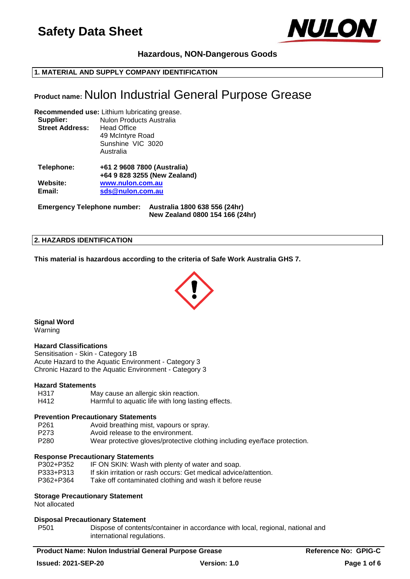

# **Hazardous, NON-Dangerous Goods**

## **1. MATERIAL AND SUPPLY COMPANY IDENTIFICATION**

# **Product name:** Nulon Industrial General Purpose Grease

**Recommended use:** Lithium lubricating grease. **Supplier:** Nulon Products Australia **Street Address:** Head Office 49 McIntyre Road

> Sunshine VIC 3020 Australia

| +61 2 9608 7800 (Australia)  |
|------------------------------|
| +64 9 828 3255 (New Zealand) |
| www.nulon.com.au             |
| sds@nulon.com.au             |
|                              |

**Emergency Telephone number: Australia 1800 638 556 (24hr) New Zealand 0800 154 166 (24hr)**

#### **2. HAZARDS IDENTIFICATION**

**This material is hazardous according to the criteria of Safe Work Australia GHS 7.**



**Signal Word**

Warning

#### **Hazard Classifications**

Sensitisation - Skin - Category 1B Acute Hazard to the Aquatic Environment - Category 3 Chronic Hazard to the Aquatic Environment - Category 3

#### **Hazard Statements**

H317 May cause an allergic skin reaction. H412 Harmful to aquatic life with long lasting effects.

#### **Prevention Precautionary Statements**

P261 Avoid breathing mist, vapours or spray.

- P273 Avoid release to the environment.
- P280 Wear protective gloves/protective clothing including eye/face protection.

#### **Response Precautionary Statements**

| P302+P352 | IF ON SKIN: Wash with plenty of water and soap.                  |
|-----------|------------------------------------------------------------------|
| P333+P313 | If skin irritation or rash occurs: Get medical advice/attention. |
| P362+P364 | Take off contaminated clothing and wash it before reuse          |

#### **Storage Precautionary Statement**

Not allocated

#### **Disposal Precautionary Statement**

P501 Dispose of contents/container in accordance with local, regional, national and international regulations.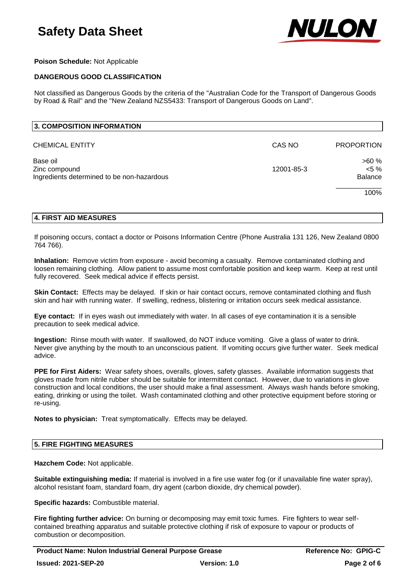

## **Poison Schedule:** Not Applicable

## **DANGEROUS GOOD CLASSIFICATION**

Not classified as Dangerous Goods by the criteria of the "Australian Code for the Transport of Dangerous Goods by Road & Rail" and the "New Zealand NZS5433: Transport of Dangerous Goods on Land".

| CAS NO     | <b>PROPORTION</b> |
|------------|-------------------|
|            | >60%              |
| 12001-85-3 | $< 5 \%$          |
|            | Balance           |
|            | 100%              |
|            |                   |

#### **4. FIRST AID MEASURES**

If poisoning occurs, contact a doctor or Poisons Information Centre (Phone Australia 131 126, New Zealand 0800 764 766).

**Inhalation:** Remove victim from exposure - avoid becoming a casualty. Remove contaminated clothing and loosen remaining clothing. Allow patient to assume most comfortable position and keep warm. Keep at rest until fully recovered. Seek medical advice if effects persist.

**Skin Contact:** Effects may be delayed. If skin or hair contact occurs, remove contaminated clothing and flush skin and hair with running water. If swelling, redness, blistering or irritation occurs seek medical assistance.

**Eye contact:** If in eyes wash out immediately with water. In all cases of eye contamination it is a sensible precaution to seek medical advice.

**Ingestion:** Rinse mouth with water. If swallowed, do NOT induce vomiting. Give a glass of water to drink. Never give anything by the mouth to an unconscious patient. If vomiting occurs give further water. Seek medical advice.

**PPE for First Aiders:** Wear safety shoes, overalls, gloves, safety glasses. Available information suggests that gloves made from nitrile rubber should be suitable for intermittent contact. However, due to variations in glove construction and local conditions, the user should make a final assessment. Always wash hands before smoking, eating, drinking or using the toilet. Wash contaminated clothing and other protective equipment before storing or re-using.

**Notes to physician:** Treat symptomatically. Effects may be delayed.

#### **5. FIRE FIGHTING MEASURES**

**Hazchem Code:** Not applicable.

**Suitable extinguishing media:** If material is involved in a fire use water fog (or if unavailable fine water spray), alcohol resistant foam, standard foam, dry agent (carbon dioxide, dry chemical powder).

**Specific hazards:** Combustible material.

**Fire fighting further advice:** On burning or decomposing may emit toxic fumes. Fire fighters to wear selfcontained breathing apparatus and suitable protective clothing if risk of exposure to vapour or products of combustion or decomposition.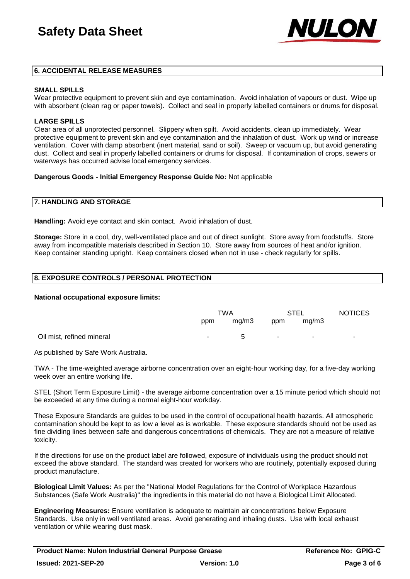

#### **6. ACCIDENTAL RELEASE MEASURES**

#### **SMALL SPILLS**

Wear protective equipment to prevent skin and eye contamination. Avoid inhalation of vapours or dust. Wipe up with absorbent (clean rag or paper towels). Collect and seal in properly labelled containers or drums for disposal.

#### **LARGE SPILLS**

Clear area of all unprotected personnel. Slippery when spilt. Avoid accidents, clean up immediately. Wear protective equipment to prevent skin and eye contamination and the inhalation of dust. Work up wind or increase ventilation. Cover with damp absorbent (inert material, sand or soil). Sweep or vacuum up, but avoid generating dust. Collect and seal in properly labelled containers or drums for disposal. If contamination of crops, sewers or waterways has occurred advise local emergency services.

#### **Dangerous Goods - Initial Emergency Response Guide No:** Not applicable

#### **7. HANDLING AND STORAGE**

**Handling:** Avoid eye contact and skin contact. Avoid inhalation of dust.

**Storage:** Store in a cool, dry, well-ventilated place and out of direct sunlight. Store away from foodstuffs. Store away from incompatible materials described in Section 10. Store away from sources of heat and/or ignition. Keep container standing upright. Keep containers closed when not in use - check regularly for spills.

#### **8. EXPOSURE CONTROLS / PERSONAL PROTECTION**

#### **National occupational exposure limits:**

|                           | TWA |       | STEL   |        | <b>NOTICES</b> |
|---------------------------|-----|-------|--------|--------|----------------|
|                           | ppm | mg/m3 | ppm    | mg/m3  |                |
| Oil mist, refined mineral | ۰.  | 5     | $\sim$ | $\sim$ | ۰.             |

As published by Safe Work Australia.

TWA - The time-weighted average airborne concentration over an eight-hour working day, for a five-day working week over an entire working life.

STEL (Short Term Exposure Limit) - the average airborne concentration over a 15 minute period which should not be exceeded at any time during a normal eight-hour workday.

These Exposure Standards are guides to be used in the control of occupational health hazards. All atmospheric contamination should be kept to as low a level as is workable. These exposure standards should not be used as fine dividing lines between safe and dangerous concentrations of chemicals. They are not a measure of relative toxicity.

If the directions for use on the product label are followed, exposure of individuals using the product should not exceed the above standard. The standard was created for workers who are routinely, potentially exposed during product manufacture.

**Biological Limit Values:** As per the "National Model Regulations for the Control of Workplace Hazardous Substances (Safe Work Australia)" the ingredients in this material do not have a Biological Limit Allocated.

**Engineering Measures:** Ensure ventilation is adequate to maintain air concentrations below Exposure Standards. Use only in well ventilated areas. Avoid generating and inhaling dusts. Use with local exhaust ventilation or while wearing dust mask.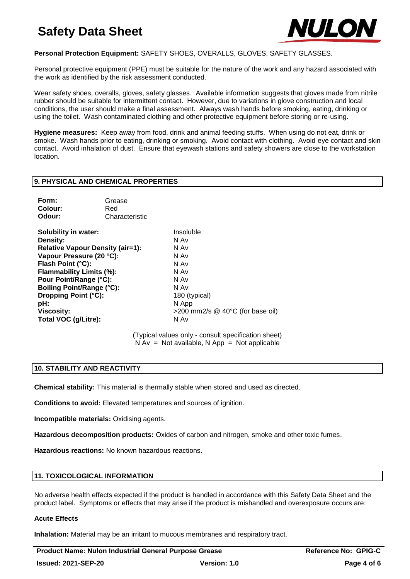

# **Personal Protection Equipment:** SAFETY SHOES, OVERALLS, GLOVES, SAFETY GLASSES.

Personal protective equipment (PPE) must be suitable for the nature of the work and any hazard associated with the work as identified by the risk assessment conducted.

Wear safety shoes, overalls, gloves, safety glasses. Available information suggests that gloves made from nitrile rubber should be suitable for intermittent contact. However, due to variations in glove construction and local conditions, the user should make a final assessment. Always wash hands before smoking, eating, drinking or using the toilet. Wash contaminated clothing and other protective equipment before storing or re-using.

**Hygiene measures:** Keep away from food, drink and animal feeding stuffs. When using do not eat, drink or smoke. Wash hands prior to eating, drinking or smoking. Avoid contact with clothing. Avoid eye contact and skin contact. Avoid inhalation of dust. Ensure that eyewash stations and safety showers are close to the workstation location.

#### **9. PHYSICAL AND CHEMICAL PROPERTIES**

| Form:   | Grease         |
|---------|----------------|
| Colour: | Red            |
| Odour:  | Characteristic |

**Solubility in water:** Insoluble **Density:** N Av **Relative Vapour Density (air=1):** N Av **Vapour Pressure (20 °C):** N Av **Flash Point (°C):** N Av **Flammability Limits (%):** N Av **Pour Point/Range (°C):** N Av **Boiling Point/Range (°C):** N Av **Dropping Point (°C):** 180 (typical) **pH:** N App **Total VOC (g/Litre):** N Av

**Viscosity:**  $>200$  mm2/s @ 40°C (for base oil)

(Typical values only - consult specification sheet)  $N Av = Not available$ ,  $N App = Not applicable$ 

## **10. STABILITY AND REACTIVITY**

**Chemical stability:** This material is thermally stable when stored and used as directed.

**Conditions to avoid:** Elevated temperatures and sources of ignition.

**Incompatible materials:** Oxidising agents.

**Hazardous decomposition products:** Oxides of carbon and nitrogen, smoke and other toxic fumes.

**Hazardous reactions:** No known hazardous reactions.

#### **11. TOXICOLOGICAL INFORMATION**

No adverse health effects expected if the product is handled in accordance with this Safety Data Sheet and the product label. Symptoms or effects that may arise if the product is mishandled and overexposure occurs are:

#### **Acute Effects**

**Inhalation:** Material may be an irritant to mucous membranes and respiratory tract.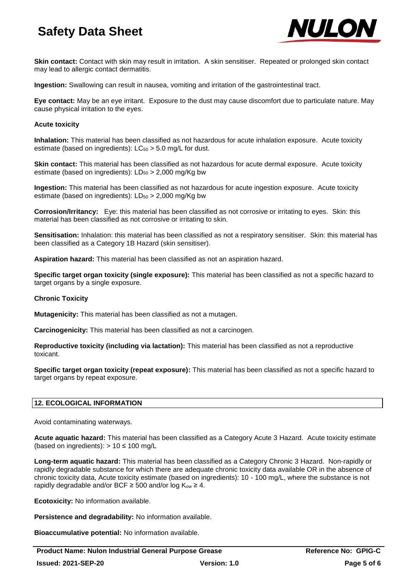

**Skin contact:** Contact with skin may result in irritation. A skin sensitiser. Repeated or prolonged skin contact may lead to allergic contact dermatitis.

**Ingestion:** Swallowing can result in nausea, vomiting and irritation of the gastrointestinal tract.

**Eye contact:** May be an eye irritant. Exposure to the dust may cause discomfort due to particulate nature. May cause physical irritation to the eyes.

## **Acute toxicity**

**Inhalation:** This material has been classified as not hazardous for acute inhalation exposure. Acute toxicity estimate (based on ingredients):  $LC_{50} > 5.0$  mg/L for dust.

**Skin contact:** This material has been classified as not hazardous for acute dermal exposure. Acute toxicity estimate (based on ingredients):  $LD_{50} > 2,000$  mg/Kg bw

**Ingestion:** This material has been classified as not hazardous for acute ingestion exposure. Acute toxicity estimate (based on ingredients):  $LD_{50} > 2,000$  mg/Kg bw

**Corrosion/Irritancy:** Eye: this material has been classified as not corrosive or irritating to eyes. Skin: this material has been classified as not corrosive or irritating to skin.

**Sensitisation:** Inhalation: this material has been classified as not a respiratory sensitiser. Skin: this material has been classified as a Category 1B Hazard (skin sensitiser).

**Aspiration hazard:** This material has been classified as not an aspiration hazard.

**Specific target organ toxicity (single exposure):** This material has been classified as not a specific hazard to target organs by a single exposure.

## **Chronic Toxicity**

**Mutagenicity:** This material has been classified as not a mutagen.

**Carcinogenicity:** This material has been classified as not a carcinogen.

**Reproductive toxicity (including via lactation):** This material has been classified as not a reproductive toxicant.

**Specific target organ toxicity (repeat exposure):** This material has been classified as not a specific hazard to target organs by repeat exposure.

## **12. ECOLOGICAL INFORMATION**

Avoid contaminating waterways.

**Acute aquatic hazard:** This material has been classified as a Category Acute 3 Hazard. Acute toxicity estimate (based on ingredients):  $> 10 \le 100$  mg/L

**Long-term aquatic hazard:** This material has been classified as a Category Chronic 3 Hazard. Non-rapidly or rapidly degradable substance for which there are adequate chronic toxicity data available OR in the absence of chronic toxicity data, Acute toxicity estimate (based on ingredients): 10 - 100 mg/L, where the substance is not rapidly degradable and/or BCF  $\geq$  500 and/or log K<sub>ow</sub>  $\geq$  4.

**Ecotoxicity:** No information available.

**Persistence and degradability:** No information available.

**Bioaccumulative potential:** No information available.